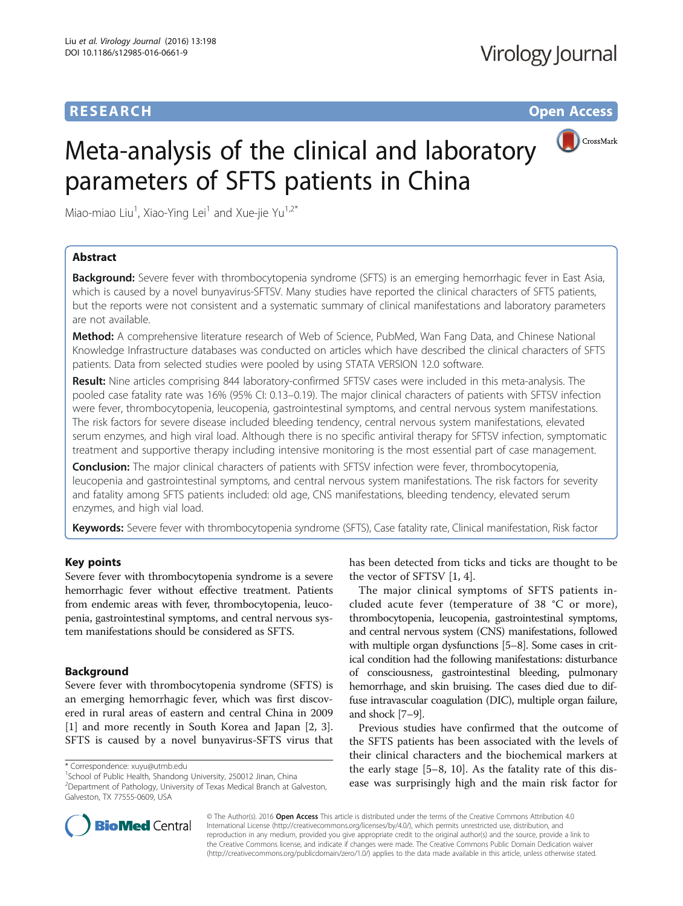# **RESEARCH RESEARCH** *CHECKER CHECKER CHECKER CHECKER CHECKER CHECKER CHECKER CHECKER CHECKER CHECKER CHECKER*



# Meta-analysis of the clinical and laboratory parameters of SFTS patients in China

Miao-miao Liu<sup>1</sup>, Xiao-Ying Lei<sup>1</sup> and Xue-jie Yu<sup>1,2\*</sup>

# Abstract

Background: Severe fever with thrombocytopenia syndrome (SFTS) is an emerging hemorrhagic fever in East Asia, which is caused by a novel bunyavirus-SFTSV. Many studies have reported the clinical characters of SFTS patients, but the reports were not consistent and a systematic summary of clinical manifestations and laboratory parameters are not available.

Method: A comprehensive literature research of Web of Science, PubMed, Wan Fang Data, and Chinese National Knowledge Infrastructure databases was conducted on articles which have described the clinical characters of SFTS patients. Data from selected studies were pooled by using STATA VERSION 12.0 software.

Result: Nine articles comprising 844 laboratory-confirmed SFTSV cases were included in this meta-analysis. The pooled case fatality rate was 16% (95% CI: 0.13–0.19). The major clinical characters of patients with SFTSV infection were fever, thrombocytopenia, leucopenia, gastrointestinal symptoms, and central nervous system manifestations. The risk factors for severe disease included bleeding tendency, central nervous system manifestations, elevated serum enzymes, and high viral load. Although there is no specific antiviral therapy for SFTSV infection, symptomatic treatment and supportive therapy including intensive monitoring is the most essential part of case management.

**Conclusion:** The major clinical characters of patients with SFTSV infection were fever, thrombocytopenia, leucopenia and gastrointestinal symptoms, and central nervous system manifestations. The risk factors for severity and fatality among SFTS patients included: old age, CNS manifestations, bleeding tendency, elevated serum enzymes, and high vial load.

Keywords: Severe fever with thrombocytopenia syndrome (SFTS), Case fatality rate, Clinical manifestation, Risk factor

# Key points

Severe fever with thrombocytopenia syndrome is a severe hemorrhagic fever without effective treatment. Patients from endemic areas with fever, thrombocytopenia, leucopenia, gastrointestinal symptoms, and central nervous system manifestations should be considered as SFTS.

# Background

Severe fever with thrombocytopenia syndrome (SFTS) is an emerging hemorrhagic fever, which was first discovered in rural areas of eastern and central China in 2009 [[1\]](#page-4-0) and more recently in South Korea and Japan [\[2](#page-4-0), [3](#page-4-0)]. SFTS is caused by a novel bunyavirus-SFTS virus that

\* Correspondence: [xuyu@utmb.edu](mailto:xuyu@utmb.edu) <sup>1</sup>

<sup>1</sup>School of Public Health, Shandong University, 250012 Jinan, China

has been detected from ticks and ticks are thought to be the vector of SFTSV [[1](#page-4-0), [4](#page-4-0)].

The major clinical symptoms of SFTS patients included acute fever (temperature of 38 °C or more), thrombocytopenia, leucopenia, gastrointestinal symptoms, and central nervous system (CNS) manifestations, followed with multiple organ dysfunctions [[5](#page-4-0)–[8\]](#page-4-0). Some cases in critical condition had the following manifestations: disturbance of consciousness, gastrointestinal bleeding, pulmonary hemorrhage, and skin bruising. The cases died due to diffuse intravascular coagulation (DIC), multiple organ failure, and shock [\[7](#page-4-0)–[9](#page-4-0)].

Previous studies have confirmed that the outcome of the SFTS patients has been associated with the levels of their clinical characters and the biochemical markers at the early stage [[5](#page-4-0)–[8](#page-4-0), [10\]](#page-4-0). As the fatality rate of this disease was surprisingly high and the main risk factor for



© The Author(s). 2016 Open Access This article is distributed under the terms of the Creative Commons Attribution 4.0 International License [\(http://creativecommons.org/licenses/by/4.0/](http://creativecommons.org/licenses/by/4.0/)), which permits unrestricted use, distribution, and reproduction in any medium, provided you give appropriate credit to the original author(s) and the source, provide a link to the Creative Commons license, and indicate if changes were made. The Creative Commons Public Domain Dedication waiver [\(http://creativecommons.org/publicdomain/zero/1.0/](http://creativecommons.org/publicdomain/zero/1.0/)) applies to the data made available in this article, unless otherwise stated.

<sup>&</sup>lt;sup>2</sup> Department of Pathology, University of Texas Medical Branch at Galveston, Galveston, TX 77555-0609, USA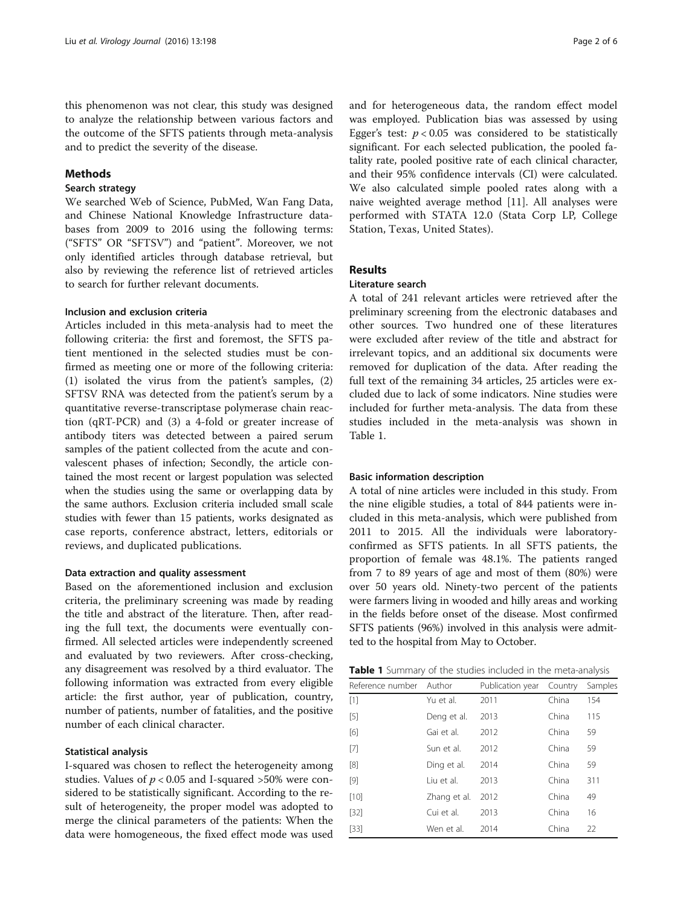this phenomenon was not clear, this study was designed to analyze the relationship between various factors and the outcome of the SFTS patients through meta-analysis and to predict the severity of the disease.

# Methods

# Search strategy

We searched Web of Science, PubMed, Wan Fang Data, and Chinese National Knowledge Infrastructure databases from 2009 to 2016 using the following terms: ("SFTS" OR "SFTSV") and "patient". Moreover, we not only identified articles through database retrieval, but also by reviewing the reference list of retrieved articles to search for further relevant documents.

# Inclusion and exclusion criteria

Articles included in this meta-analysis had to meet the following criteria: the first and foremost, the SFTS patient mentioned in the selected studies must be confirmed as meeting one or more of the following criteria: (1) isolated the virus from the patient's samples, (2) SFTSV RNA was detected from the patient's serum by a quantitative reverse-transcriptase polymerase chain reaction (qRT-PCR) and (3) a 4-fold or greater increase of antibody titers was detected between a paired serum samples of the patient collected from the acute and convalescent phases of infection; Secondly, the article contained the most recent or largest population was selected when the studies using the same or overlapping data by the same authors. Exclusion criteria included small scale studies with fewer than 15 patients, works designated as case reports, conference abstract, letters, editorials or reviews, and duplicated publications.

#### Data extraction and quality assessment

Based on the aforementioned inclusion and exclusion criteria, the preliminary screening was made by reading the title and abstract of the literature. Then, after reading the full text, the documents were eventually confirmed. All selected articles were independently screened and evaluated by two reviewers. After cross-checking, any disagreement was resolved by a third evaluator. The following information was extracted from every eligible article: the first author, year of publication, country, number of patients, number of fatalities, and the positive number of each clinical character.

## Statistical analysis

I-squared was chosen to reflect the heterogeneity among studies. Values of  $p < 0.05$  and I-squared >50% were considered to be statistically significant. According to the result of heterogeneity, the proper model was adopted to merge the clinical parameters of the patients: When the data were homogeneous, the fixed effect mode was used and for heterogeneous data, the random effect model was employed. Publication bias was assessed by using Egger's test:  $p < 0.05$  was considered to be statistically significant. For each selected publication, the pooled fatality rate, pooled positive rate of each clinical character, and their 95% confidence intervals (CI) were calculated. We also calculated simple pooled rates along with a naive weighted average method [\[11](#page-5-0)]. All analyses were performed with STATA 12.0 (Stata Corp LP, College Station, Texas, United States).

# Results

# Literature search

A total of 241 relevant articles were retrieved after the preliminary screening from the electronic databases and other sources. Two hundred one of these literatures were excluded after review of the title and abstract for irrelevant topics, and an additional six documents were removed for duplication of the data. After reading the full text of the remaining 34 articles, 25 articles were excluded due to lack of some indicators. Nine studies were included for further meta-analysis. The data from these studies included in the meta-analysis was shown in Table 1.

#### Basic information description

A total of nine articles were included in this study. From the nine eligible studies, a total of 844 patients were included in this meta-analysis, which were published from 2011 to 2015. All the individuals were laboratoryconfirmed as SFTS patients. In all SFTS patients, the proportion of female was 48.1%. The patients ranged from 7 to 89 years of age and most of them (80%) were over 50 years old. Ninety-two percent of the patients were farmers living in wooded and hilly areas and working in the fields before onset of the disease. Most confirmed SFTS patients (96%) involved in this analysis were admitted to the hospital from May to October.

| Table 1 Summary of the studies included in the meta-analysis |  |
|--------------------------------------------------------------|--|
|--------------------------------------------------------------|--|

| Reference number Author |              | Publication year Country |       | Samples |
|-------------------------|--------------|--------------------------|-------|---------|
| [1]                     | Yu et al.    | 2011                     | China | 154     |
| $[5]$                   | Deng et al.  | 2013                     | China | 115     |
| [6]                     | Gai et al.   | 2012                     | China | 59      |
| $[7]$                   | Sun et al.   | 2012                     | China | 59      |
| $[8]$                   | Ding et al.  | 2014                     | China | 59      |
| $[9]$                   | Liu et al.   | 2013                     | China | 311     |
| $[10]$                  | Zhang et al. | 2012                     | China | 49      |
| $[32]$                  | Cui et al.   | 2013                     | China | 16      |
| $[33]$                  | Wen et al.   | 2014                     | China | 22      |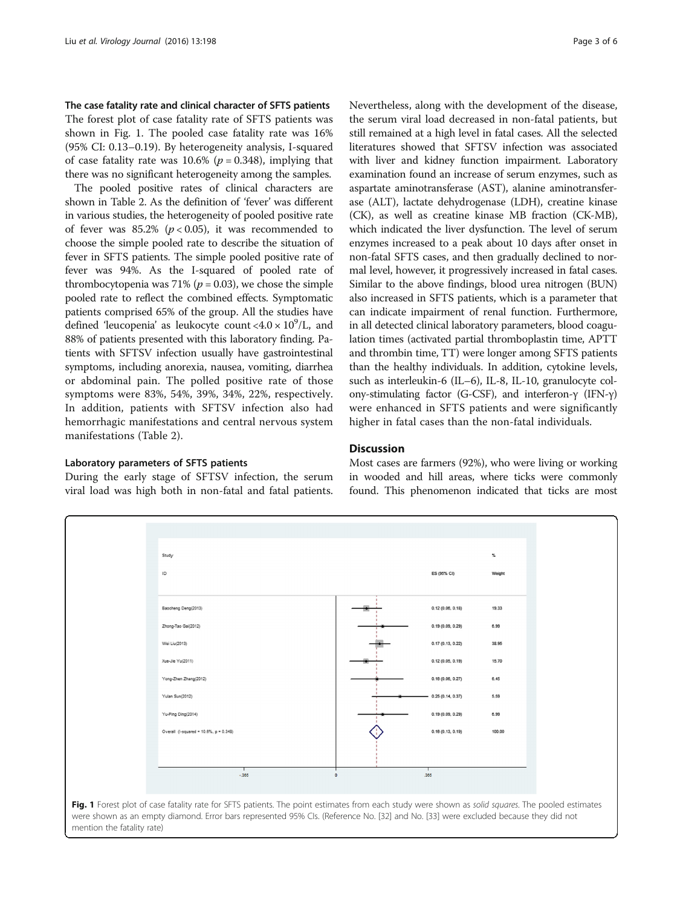The case fatality rate and clinical character of SFTS patients The forest plot of case fatality rate of SFTS patients was shown in Fig. 1. The pooled case fatality rate was 16% (95% CI: 0.13–0.19). By heterogeneity analysis, I-squared of case fatality rate was 10.6% ( $p = 0.348$ ), implying that there was no significant heterogeneity among the samples.

The pooled positive rates of clinical characters are shown in Table [2.](#page-3-0) As the definition of 'fever' was different in various studies, the heterogeneity of pooled positive rate of fever was 85.2% ( $p < 0.05$ ), it was recommended to choose the simple pooled rate to describe the situation of fever in SFTS patients. The simple pooled positive rate of fever was 94%. As the I-squared of pooled rate of thrombocytopenia was 71% ( $p = 0.03$ ), we chose the simple pooled rate to reflect the combined effects. Symptomatic patients comprised 65% of the group. All the studies have defined 'leucopenia' as leukocyte count <4.0  $\times$  10<sup>9</sup>/L, and 88% of patients presented with this laboratory finding. Patients with SFTSV infection usually have gastrointestinal symptoms, including anorexia, nausea, vomiting, diarrhea or abdominal pain. The polled positive rate of those symptoms were 83%, 54%, 39%, 34%, 22%, respectively. In addition, patients with SFTSV infection also had hemorrhagic manifestations and central nervous system manifestations (Table [2](#page-3-0)).

# Laboratory parameters of SFTS patients

During the early stage of SFTSV infection, the serum viral load was high both in non-fatal and fatal patients.

Nevertheless, along with the development of the disease, the serum viral load decreased in non-fatal patients, but still remained at a high level in fatal cases. All the selected literatures showed that SFTSV infection was associated with liver and kidney function impairment. Laboratory examination found an increase of serum enzymes, such as aspartate aminotransferase (AST), alanine aminotransferase (ALT), lactate dehydrogenase (LDH), creatine kinase (CK), as well as creatine kinase MB fraction (CK-MB), which indicated the liver dysfunction. The level of serum enzymes increased to a peak about 10 days after onset in non-fatal SFTS cases, and then gradually declined to normal level, however, it progressively increased in fatal cases. Similar to the above findings, blood urea nitrogen (BUN) also increased in SFTS patients, which is a parameter that can indicate impairment of renal function. Furthermore, in all detected clinical laboratory parameters, blood coagulation times (activated partial thromboplastin time, APTT and thrombin time, TT) were longer among SFTS patients than the healthy individuals. In addition, cytokine levels, such as interleukin-6 (IL–6), IL-8, IL-10, granulocyte colony-stimulating factor (G-CSF), and interferon-γ (IFN-γ) were enhanced in SFTS patients and were significantly higher in fatal cases than the non-fatal individuals.

## **Discussion**

Most cases are farmers (92%), who were living or working in wooded and hill areas, where ticks were commonly found. This phenomenon indicated that ticks are most

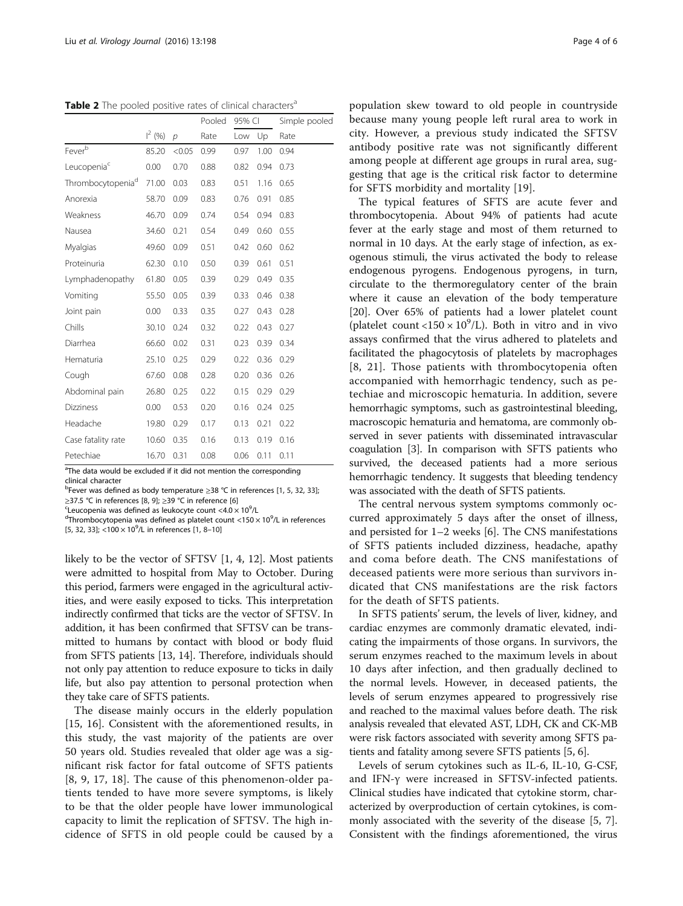<span id="page-3-0"></span>Table 2 The pooled positive rates of clinical characters<sup>a</sup>

|                               |           |                | Pooled | 95% CI |      | Simple pooled |  |
|-------------------------------|-----------|----------------|--------|--------|------|---------------|--|
|                               | $1^2$ (%) | $\overline{D}$ | Rate   | Low    | Up   | Rate          |  |
| Feverb                        | 85.20     | < 0.05         | 0.99   | 0.97   | 1.00 | 0.94          |  |
| Leucopenia <sup>c</sup>       | 0.00      | 0.70           | 0.88   | 0.82   | 0.94 | 0.73          |  |
| Thrombocytopenia <sup>d</sup> | 71.00     | 0.03           | 0.83   | 0.51   | 1.16 | 0.65          |  |
| Anorexia                      | 58.70     | 0.09           | 0.83   | 0.76   | 0.91 | 0.85          |  |
| Weakness                      | 46.70     | 0.09           | 0.74   | 0.54   | 0.94 | 0.83          |  |
| Nausea                        | 34.60     | 0.21           | 0.54   | 0.49   | 0.60 | 0.55          |  |
| Myalgias                      | 49.60     | 0.09           | 0.51   | 0.42   | 0.60 | 0.62          |  |
| Proteinuria                   | 62.30     | 0.10           | 0.50   | 0.39   | 0.61 | 0.51          |  |
| Lymphadenopathy               | 61.80     | 0.05           | 0.39   | 0.29   | 0.49 | 0.35          |  |
| Vomiting                      | 55.50     | 0.05           | 0.39   | 0.33   | 0.46 | 0.38          |  |
| Joint pain                    | 0.00      | 0.33           | 0.35   | 0.27   | 0.43 | 0.28          |  |
| Chills                        | 30.10     | 0.24           | 0.32   | 0.22   | 0.43 | 0.27          |  |
| Diarrhea                      | 66.60     | 0.02           | 0.31   | 0.23   | 0.39 | 0.34          |  |
| Hematuria                     | 25.10     | 0.25           | 0.29   | 0.22   | 0.36 | 0.29          |  |
| Cough                         | 67.60     | 0.08           | 0.28   | 0.20   | 0.36 | 0.26          |  |
| Abdominal pain                | 26.80     | 0.25           | 0.22   | 0.15   | 0.29 | 0.29          |  |
| <b>Dizziness</b>              | 0.00      | 0.53           | 0.20   | 0.16   | 0.24 | 0.25          |  |
| Headache                      | 19.80     | 0.29           | 0.17   | 0.13   | 0.21 | 0.22          |  |
| Case fatality rate            | 10.60     | 0.35           | 0.16   | 0.13   | 0.19 | 0.16          |  |
| Petechiae                     | 16.70     | 0.31           | 0.08   | 0.06   | 0.11 | 0.11          |  |

<sup>a</sup>The data would be excluded if it did not mention the corresponding clinical character

<sup>b</sup>Fever was defined as body temperature ≥38 °C in references [\[1,](#page-4-0) [5,](#page-4-0) [32,](#page-5-0) [33](#page-5-0)]; <sup>≥</sup>37.5 °C in references [\[8,](#page-4-0) [9](#page-4-0)]; <sup>≥</sup>39 °C in reference [\[6\]](#page-4-0) <sup>c</sup>

ELeucopenia was defined as leukocyte count  $\langle 4.0 \times 10^9 \rangle$ <br>
Enterpretence is use defined as platelet count  $\langle 150 \rangle$ 

Thrombocytopenia was defined as platelet count <150  $\times$  10<sup>9</sup>/L in references

[[5](#page-4-0), [32,](#page-5-0) [33\]](#page-5-0); <100  $\times$  10<sup>9</sup>/L in references [\[1,](#page-4-0) [8](#page-4-0)-[10\]](#page-4-0)

likely to be the vector of SFTSV [[1, 4](#page-4-0), [12](#page-5-0)]. Most patients were admitted to hospital from May to October. During this period, farmers were engaged in the agricultural activities, and were easily exposed to ticks. This interpretation indirectly confirmed that ticks are the vector of SFTSV. In addition, it has been confirmed that SFTSV can be transmitted to humans by contact with blood or body fluid from SFTS patients [\[13, 14](#page-5-0)]. Therefore, individuals should not only pay attention to reduce exposure to ticks in daily life, but also pay attention to personal protection when they take care of SFTS patients.

The disease mainly occurs in the elderly population [[15, 16\]](#page-5-0). Consistent with the aforementioned results, in this study, the vast majority of the patients are over 50 years old. Studies revealed that older age was a significant risk factor for fatal outcome of SFTS patients [[8, 9,](#page-4-0) [17, 18](#page-5-0)]. The cause of this phenomenon-older patients tended to have more severe symptoms, is likely to be that the older people have lower immunological capacity to limit the replication of SFTSV. The high incidence of SFTS in old people could be caused by a

population skew toward to old people in countryside because many young people left rural area to work in city. However, a previous study indicated the SFTSV antibody positive rate was not significantly different among people at different age groups in rural area, suggesting that age is the critical risk factor to determine for SFTS morbidity and mortality [\[19](#page-5-0)].

The typical features of SFTS are acute fever and thrombocytopenia. About 94% of patients had acute fever at the early stage and most of them returned to normal in 10 days. At the early stage of infection, as exogenous stimuli, the virus activated the body to release endogenous pyrogens. Endogenous pyrogens, in turn, circulate to the thermoregulatory center of the brain where it cause an elevation of the body temperature [[20\]](#page-5-0). Over 65% of patients had a lower platelet count (platelet count <150  $\times$  10<sup>9</sup>/L). Both in vitro and in vivo assays confirmed that the virus adhered to platelets and facilitated the phagocytosis of platelets by macrophages [[8](#page-4-0), [21\]](#page-5-0). Those patients with thrombocytopenia often accompanied with hemorrhagic tendency, such as petechiae and microscopic hematuria. In addition, severe hemorrhagic symptoms, such as gastrointestinal bleeding, macroscopic hematuria and hematoma, are commonly observed in sever patients with disseminated intravascular coagulation [\[3](#page-4-0)]. In comparison with SFTS patients who survived, the deceased patients had a more serious hemorrhagic tendency. It suggests that bleeding tendency was associated with the death of SFTS patients.

The central nervous system symptoms commonly occurred approximately 5 days after the onset of illness, and persisted for 1–2 weeks [\[6](#page-4-0)]. The CNS manifestations of SFTS patients included dizziness, headache, apathy and coma before death. The CNS manifestations of deceased patients were more serious than survivors indicated that CNS manifestations are the risk factors for the death of SFTS patients.

In SFTS patients' serum, the levels of liver, kidney, and cardiac enzymes are commonly dramatic elevated, indicating the impairments of those organs. In survivors, the serum enzymes reached to the maximum levels in about 10 days after infection, and then gradually declined to the normal levels. However, in deceased patients, the levels of serum enzymes appeared to progressively rise and reached to the maximal values before death. The risk analysis revealed that elevated AST, LDH, CK and CK-MB were risk factors associated with severity among SFTS patients and fatality among severe SFTS patients [[5](#page-4-0), [6\]](#page-4-0).

Levels of serum cytokines such as IL-6, IL-10, G-CSF, and IFN-γ were increased in SFTSV-infected patients. Clinical studies have indicated that cytokine storm, characterized by overproduction of certain cytokines, is commonly associated with the severity of the disease [\[5](#page-4-0), [7](#page-4-0)]. Consistent with the findings aforementioned, the virus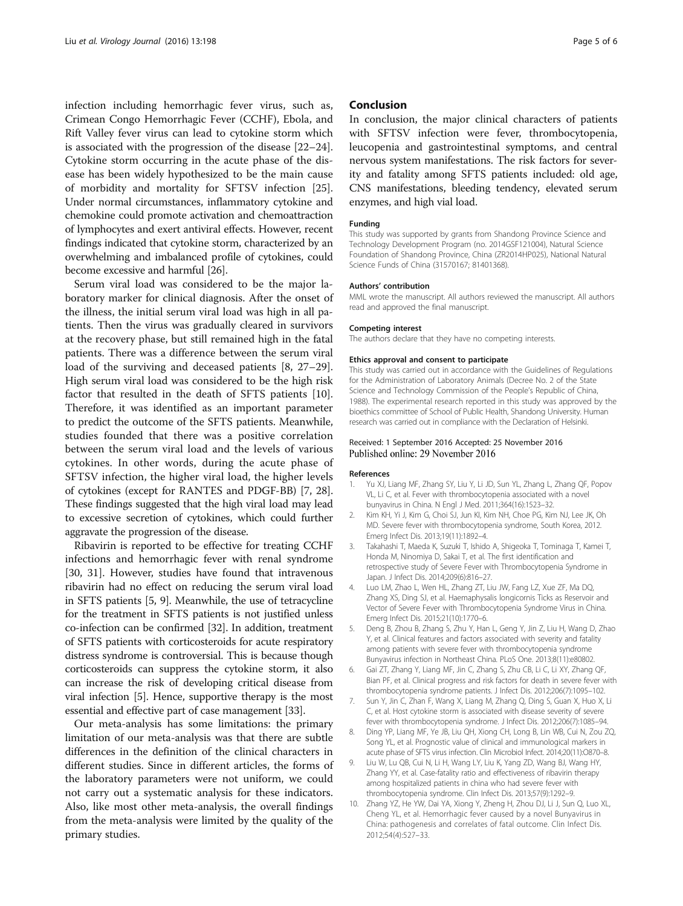<span id="page-4-0"></span>infection including hemorrhagic fever virus, such as, Crimean Congo Hemorrhagic Fever (CCHF), Ebola, and Rift Valley fever virus can lead to cytokine storm which is associated with the progression of the disease [[22](#page-5-0)–[24](#page-5-0)]. Cytokine storm occurring in the acute phase of the disease has been widely hypothesized to be the main cause of morbidity and mortality for SFTSV infection [\[25](#page-5-0)]. Under normal circumstances, inflammatory cytokine and chemokine could promote activation and chemoattraction of lymphocytes and exert antiviral effects. However, recent findings indicated that cytokine storm, characterized by an overwhelming and imbalanced profile of cytokines, could become excessive and harmful [[26](#page-5-0)].

Serum viral load was considered to be the major laboratory marker for clinical diagnosis. After the onset of the illness, the initial serum viral load was high in all patients. Then the virus was gradually cleared in survivors at the recovery phase, but still remained high in the fatal patients. There was a difference between the serum viral load of the surviving and deceased patients [8, [27](#page-5-0)–[29](#page-5-0)]. High serum viral load was considered to be the high risk factor that resulted in the death of SFTS patients [10]. Therefore, it was identified as an important parameter to predict the outcome of the SFTS patients. Meanwhile, studies founded that there was a positive correlation between the serum viral load and the levels of various cytokines. In other words, during the acute phase of SFTSV infection, the higher viral load, the higher levels of cytokines (except for RANTES and PDGF-BB) [7, [28](#page-5-0)]. These findings suggested that the high viral load may lead to excessive secretion of cytokines, which could further aggravate the progression of the disease.

Ribavirin is reported to be effective for treating CCHF infections and hemorrhagic fever with renal syndrome [[30, 31](#page-5-0)]. However, studies have found that intravenous ribavirin had no effect on reducing the serum viral load in SFTS patients [5, 9]. Meanwhile, the use of tetracycline for the treatment in SFTS patients is not justified unless co-infection can be confirmed [\[32\]](#page-5-0). In addition, treatment of SFTS patients with corticosteroids for acute respiratory distress syndrome is controversial. This is because though corticosteroids can suppress the cytokine storm, it also can increase the risk of developing critical disease from viral infection [5]. Hence, supportive therapy is the most essential and effective part of case management [\[33](#page-5-0)].

Our meta-analysis has some limitations: the primary limitation of our meta-analysis was that there are subtle differences in the definition of the clinical characters in different studies. Since in different articles, the forms of the laboratory parameters were not uniform, we could not carry out a systematic analysis for these indicators. Also, like most other meta-analysis, the overall findings from the meta-analysis were limited by the quality of the primary studies.

# Conclusion

In conclusion, the major clinical characters of patients with SFTSV infection were fever, thrombocytopenia, leucopenia and gastrointestinal symptoms, and central nervous system manifestations. The risk factors for severity and fatality among SFTS patients included: old age, CNS manifestations, bleeding tendency, elevated serum enzymes, and high vial load.

#### Funding

This study was supported by grants from Shandong Province Science and Technology Development Program (no. 2014GSF121004), Natural Science Foundation of Shandong Province, China (ZR2014HP025), National Natural Science Funds of China (31570167; 81401368).

#### Authors' contribution

MML wrote the manuscript. All authors reviewed the manuscript. All authors read and approved the final manuscript.

#### Competing interest

The authors declare that they have no competing interests.

#### Ethics approval and consent to participate

This study was carried out in accordance with the Guidelines of Regulations for the Administration of Laboratory Animals (Decree No. 2 of the State Science and Technology Commission of the People's Republic of China, 1988). The experimental research reported in this study was approved by the bioethics committee of School of Public Health, Shandong University. Human research was carried out in compliance with the Declaration of Helsinki.

#### Received: 1 September 2016 Accepted: 25 November 2016 Published online: 29 November 2016

#### References

- 1. Yu XJ, Liang MF, Zhang SY, Liu Y, Li JD, Sun YL, Zhang L, Zhang QF, Popov VL, Li C, et al. Fever with thrombocytopenia associated with a novel bunyavirus in China. N Engl J Med. 2011;364(16):1523–32.
- 2. Kim KH, Yi J, Kim G, Choi SJ, Jun KI, Kim NH, Choe PG, Kim NJ, Lee JK, Oh MD. Severe fever with thrombocytopenia syndrome, South Korea, 2012. Emerg Infect Dis. 2013;19(11):1892–4.
- 3. Takahashi T, Maeda K, Suzuki T, Ishido A, Shigeoka T, Tominaga T, Kamei T, Honda M, Ninomiya D, Sakai T, et al. The first identification and retrospective study of Severe Fever with Thrombocytopenia Syndrome in Japan. J Infect Dis. 2014;209(6):816–27.
- 4. Luo LM, Zhao L, Wen HL, Zhang ZT, Liu JW, Fang LZ, Xue ZF, Ma DQ, Zhang XS, Ding SJ, et al. Haemaphysalis longicornis Ticks as Reservoir and Vector of Severe Fever with Thrombocytopenia Syndrome Virus in China. Emerg Infect Dis. 2015;21(10):1770–6.
- 5. Deng B, Zhou B, Zhang S, Zhu Y, Han L, Geng Y, Jin Z, Liu H, Wang D, Zhao Y, et al. Clinical features and factors associated with severity and fatality among patients with severe fever with thrombocytopenia syndrome Bunyavirus infection in Northeast China. PLoS One. 2013;8(11):e80802.
- 6. Gai ZT, Zhang Y, Liang MF, Jin C, Zhang S, Zhu CB, Li C, Li XY, Zhang QF, Bian PF, et al. Clinical progress and risk factors for death in severe fever with thrombocytopenia syndrome patients. J Infect Dis. 2012;206(7):1095–102.
- 7. Sun Y, Jin C, Zhan F, Wang X, Liang M, Zhang Q, Ding S, Guan X, Huo X, Li C, et al. Host cytokine storm is associated with disease severity of severe fever with thrombocytopenia syndrome. J Infect Dis. 2012;206(7):1085–94.
- 8. Ding YP, Liang MF, Ye JB, Liu QH, Xiong CH, Long B, Lin WB, Cui N, Zou ZQ, Song YL, et al. Prognostic value of clinical and immunological markers in acute phase of SFTS virus infection. Clin Microbiol Infect. 2014;20(11):O870–8.
- 9. Liu W, Lu QB, Cui N, Li H, Wang LY, Liu K, Yang ZD, Wang BJ, Wang HY, Zhang YY, et al. Case-fatality ratio and effectiveness of ribavirin therapy among hospitalized patients in china who had severe fever with thrombocytopenia syndrome. Clin Infect Dis. 2013;57(9):1292–9.
- 10. Zhang YZ, He YW, Dai YA, Xiong Y, Zheng H, Zhou DJ, Li J, Sun Q, Luo XL, Cheng YL, et al. Hemorrhagic fever caused by a novel Bunyavirus in China: pathogenesis and correlates of fatal outcome. Clin Infect Dis. 2012;54(4):527–33.